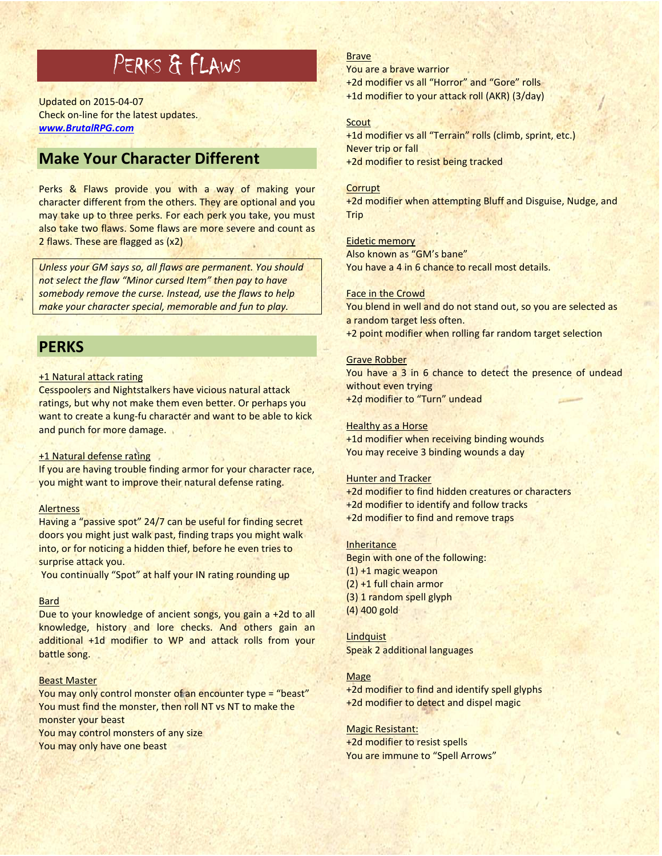# PERKS & FLAWS

Updated on 2015-04-07 Check on-line for the latest updates. *www.BrutalRPG.com*

## **Make Your Character Different**

Perks & Flaws provide you with a way of making your character different from the others. They are optional and you may take up to three perks. For each perk you take, you must also take two flaws. Some flaws are more severe and count as 2 flaws. These are flagged as (x2)

*Unless your GM says so, all flaws are permanent. You should not select the flaw "Minor cursed Item" then pay to have somebody remove the curse. Instead, use the flaws to help make your character special, memorable and fun to play.* 

## **PERKS**

#### +1 Natural attack rating

Cesspoolers and Nightstalkers have vicious natural attack ratings, but why not make them even better. Or perhaps you want to create a kung-fu character and want to be able to kick and punch for more damage.

#### +1 Natural defense rating

If you are having trouble finding armor for your character race, you might want to improve their natural defense rating.

#### **Alertness**

Having a "passive spot" 24/7 can be useful for finding secret doors you might just walk past, finding traps you might walk into, or for noticing a hidden thief, before he even tries to surprise attack you.

You continually "Spot" at half your IN rating rounding up

### **Bard**

Due to your knowledge of ancient songs, you gain a +2d to all knowledge, history and lore checks. And others gain an additional +1d modifier to WP and attack rolls from your battle song.

#### Beast Master

You may only control monster of an encounter type = "beast" You must find the monster, then roll NT vs NT to make the monster your beast

You may control monsters of any size You may only have one beast

#### Brave

You are a brave warrior

+2d modifier vs all "Horror" and "Gore" rolls

+1d modifier to your attack roll (AKR) (3/day)

#### **Scout**

+1d modifier vs all "Terrain" rolls (climb, sprint, etc.) Never trip or fall +2d modifier to resist being tracked

#### **Corrupt**

+2d modifier when attempting Bluff and Disguise, Nudge, and Trip

#### Eidetic memory

Also known as "GM's bane" You have a 4 in 6 chance to recall most details.

#### Face in the Crowd

You blend in well and do not stand out, so you are selected as a random target less often.

+2 point modifier when rolling far random target selection

#### Grave Robber

You have a 3 in 6 chance to detect the presence of undead without even trying +2d modifier to "Turn" undead

#### Healthy as a Horse

+1d modifier when receiving binding wounds You may receive 3 binding wounds a day

#### Hunter and Tracker

+2d modifier to find hidden creatures or characters +2d modifier to identify and follow tracks +2d modifier to find and remove traps

#### Inheritance

Begin with one of the following: (1) +1 magic weapon (2) +1 full chain armor (3) 1 random spell glyph (4) 400 gold

**Lindquist** Speak 2 additional languages

#### Mage

+2d modifier to find and identify spell glyphs +2d modifier to detect and dispel magic

#### Magic Resistant:

+2d modifier to resist spells You are immune to "Spell Arrows"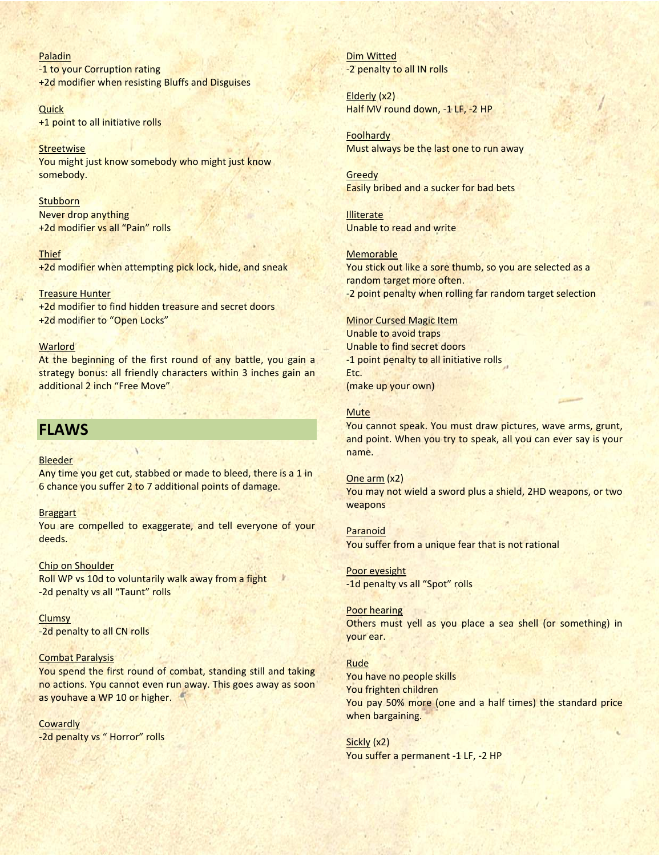Paladin -1 to your Corruption rating +2d modifier when resisting Bluffs and Disguises

Quick +1 point to all initiative rolls

**Streetwise** You might just know somebody who might just know somebody.

**Stubborn** Never drop anything +2d modifier vs all "Pain" rolls

**Thief** +2d modifier when attempting pick lock, hide, and sneak

Treasure Hunter +2d modifier to find hidden treasure and secret doors +2d modifier to "Open Locks"

#### **Warlord**

At the beginning of the first round of any battle, you gain a strategy bonus: all friendly characters within 3 inches gain an additional 2 inch "Free Move"

## **FLAWS**

#### **Bleeder**

Any time you get cut, stabbed or made to bleed, there is a 1 in 6 chance you suffer 2 to 7 additional points of damage.

#### Braggart

You are compelled to exaggerate, and tell everyone of your deeds.

Chip on Shoulder Roll WP vs 10d to voluntarily walk away from a fight -2d penalty vs all "Taunt" rolls

**Clumsy** -2d penalty to all CN rolls

#### Combat Paralysis

You spend the first round of combat, standing still and taking no actions. You cannot even run away. This goes away as soon as youhave a WP 10 or higher.

**Cowardly** -2d penalty vs " Horror" rolls Dim Witted -2 penalty to all IN rolls

Elderly (x2) Half MV round down, -1 LF, -2 HP

Foolhardy Must always be the last one to run away

**Greedy** Easily bribed and a sucker for bad bets

**Illiterate** Unable to read and write

Memorable You stick out like a sore thumb, so you are selected as a random target more often. -2 point penalty when rolling far random target selection

#### Minor Cursed Magic Item

Unable to avoid traps Unable to find secret doors -1 point penalty to all initiative rolls Etc. (make up your own)

#### **Mute**

You cannot speak. You must draw pictures, wave arms, grunt, and point. When you try to speak, all you can ever say is your name.

One arm (x2) You may not wield a sword plus a shield, 2HD weapons, or two weapons

Paranoid You suffer from a unique fear that is not rational

Poor eyesight -1d penalty vs all "Spot" rolls

Poor hearing Others must yell as you place a sea shell (or something) in your ear.

Rude You have no people skills You frighten children You pay 50% more (one and a half times) the standard price when bargaining.

Sickly (x2) You suffer a permanent -1 LF, -2 HP